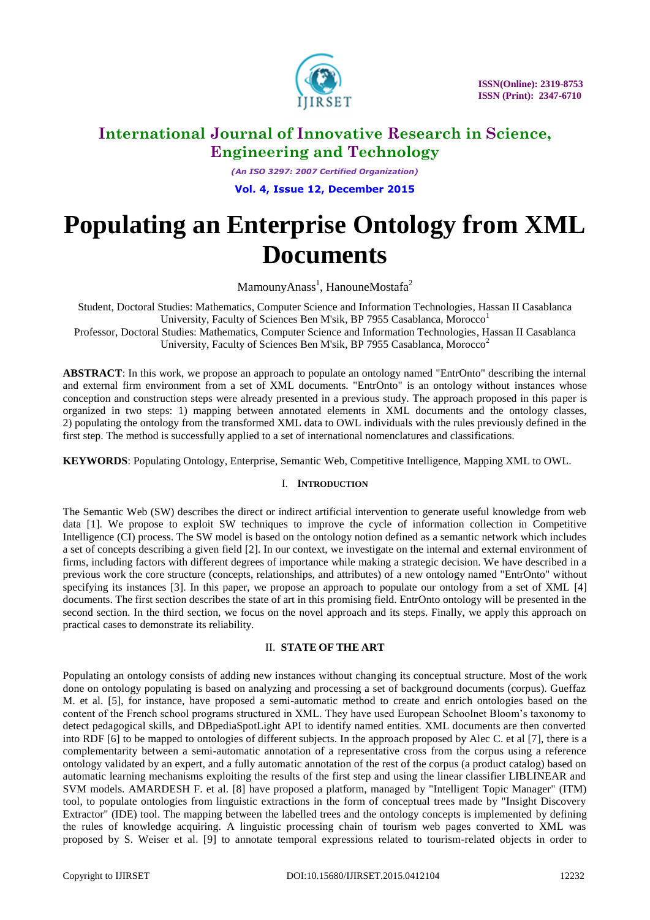

*(An ISO 3297: 2007 Certified Organization)* **Vol. 4, Issue 12, December 2015**

# **Populating an Enterprise Ontology from XML Documents**

MamounyAnass<sup>1</sup>, HanouneMostafa<sup>2</sup>

Student, Doctoral Studies: Mathematics, Computer Science and Information Technologies, Hassan II Casablanca University, Faculty of Sciences Ben M'sik, BP 7955 Casablanca, Morocco<sup>1</sup> Professor, Doctoral Studies: Mathematics, Computer Science and Information Technologies, Hassan II Casablanca

University, Faculty of Sciences Ben M'sik, BP 7955 Casablanca, Morocco<sup>2</sup>

**ABSTRACT**: In this work, we propose an approach to populate an ontology named "EntrOnto" describing the internal and external firm environment from a set of XML documents. "EntrOnto" is an ontology without instances whose conception and construction steps were already presented in a previous study. The approach proposed in this paper is organized in two steps: 1) mapping between annotated elements in XML documents and the ontology classes, 2) populating the ontology from the transformed XML data to OWL individuals with the rules previously defined in the first step. The method is successfully applied to a set of international nomenclatures and classifications.

**KEYWORDS**: Populating Ontology, Enterprise, Semantic Web, Competitive Intelligence, Mapping XML to OWL.

# I. **INTRODUCTION**

The Semantic Web (SW) describes the direct or indirect artificial intervention to generate useful knowledge from web data [1]. We propose to exploit SW techniques to improve the cycle of information collection in Competitive Intelligence (CI) process. The SW model is based on the ontology notion defined as a semantic network which includes a set of concepts describing a given field [2]. In our context, we investigate on the internal and external environment of firms, including factors with different degrees of importance while making a strategic decision. We have described in a previous work the core structure (concepts, relationships, and attributes) of a new ontology named "EntrOnto" without specifying its instances [3]. In this paper, we propose an approach to populate our ontology from a set of XML [4] documents. The first section describes the state of art in this promising field. EntrOnto ontology will be presented in the second section. In the third section, we focus on the novel approach and its steps. Finally, we apply this approach on practical cases to demonstrate its reliability.

# II. **STATE OF THE ART**

Populating an ontology consists of adding new instances without changing its conceptual structure. Most of the work done on ontology populating is based on analyzing and processing a set of background documents (corpus). Gueffaz M. et al. [5], for instance, have proposed a semi-automatic method to create and enrich ontologies based on the content of the French school programs structured in XML. They have used European Schoolnet Bloom's taxonomy to detect pedagogical skills, and DBpediaSpotLight API to identify named entities. XML documents are then converted into RDF [6] to be mapped to ontologies of different subjects. In the approach proposed by Alec C. et al [7], there is a complementarity between a semi-automatic annotation of a representative cross from the corpus using a reference ontology validated by an expert, and a fully automatic annotation of the rest of the corpus (a product catalog) based on automatic learning mechanisms exploiting the results of the first step and using the linear classifier LIBLINEAR and SVM models. AMARDESH F. et al. [8] have proposed a platform, managed by "Intelligent Topic Manager" (ITM) tool, to populate ontologies from linguistic extractions in the form of conceptual trees made by "Insight Discovery Extractor" (IDE) tool. The mapping between the labelled trees and the ontology concepts is implemented by defining the rules of knowledge acquiring. A linguistic processing chain of tourism web pages converted to XML was proposed by S. Weiser et al. [9] to annotate temporal expressions related to tourism-related objects in order to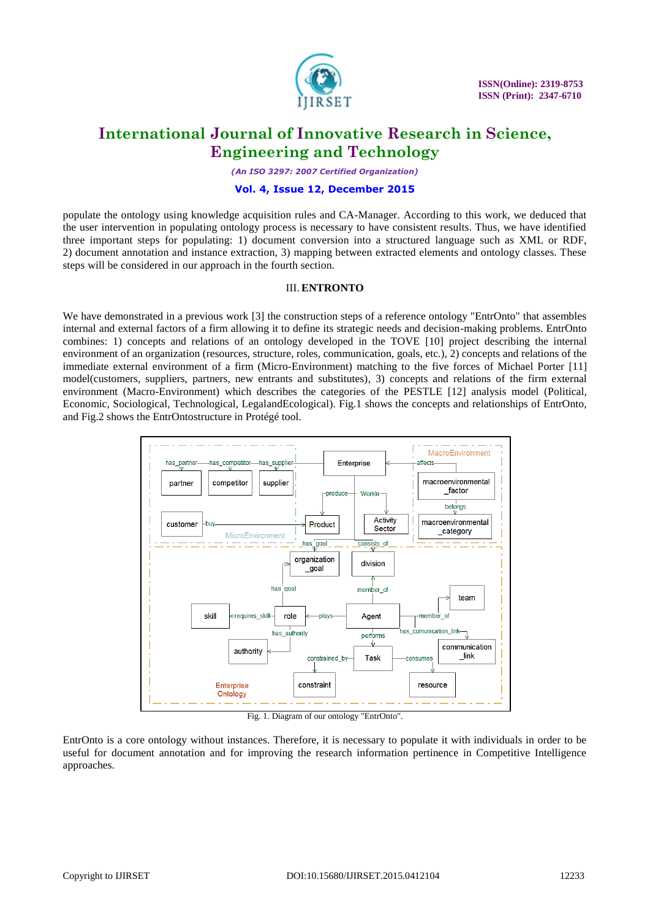

*(An ISO 3297: 2007 Certified Organization)*

### **Vol. 4, Issue 12, December 2015**

populate the ontology using knowledge acquisition rules and CA-Manager. According to this work, we deduced that the user intervention in populating ontology process is necessary to have consistent results. Thus, we have identified three important steps for populating: 1) document conversion into a structured language such as XML or RDF, 2) document annotation and instance extraction, 3) mapping between extracted elements and ontology classes. These steps will be considered in our approach in the fourth section.

### III. **ENTRONTO**

We have demonstrated in a previous work [3] the construction steps of a reference ontology "EntrOnto" that assembles internal and external factors of a firm allowing it to define its strategic needs and decision-making problems. EntrOnto combines: 1) concepts and relations of an ontology developed in the TOVE [10] project describing the internal environment of an organization (resources, structure, roles, communication, goals, etc.), 2) concepts and relations of the immediate external environment of a firm (Micro-Environment) matching to the five forces of Michael Porter [11] model(customers, suppliers, partners, new entrants and substitutes), 3) concepts and relations of the firm external environment (Macro-Environment) which describes the categories of the PESTLE [12] analysis model (Political, Economic, Sociological, Technological, LegalandEcological). Fig.1 shows the concepts and relationships of EntrOnto, and Fig.2 shows the EntrOntostructure in Protégé tool.



Fig. 1. Diagram of our ontology "EntrOnto".

EntrOnto is a core ontology without instances. Therefore, it is necessary to populate it with individuals in order to be useful for document annotation and for improving the research information pertinence in Competitive Intelligence approaches.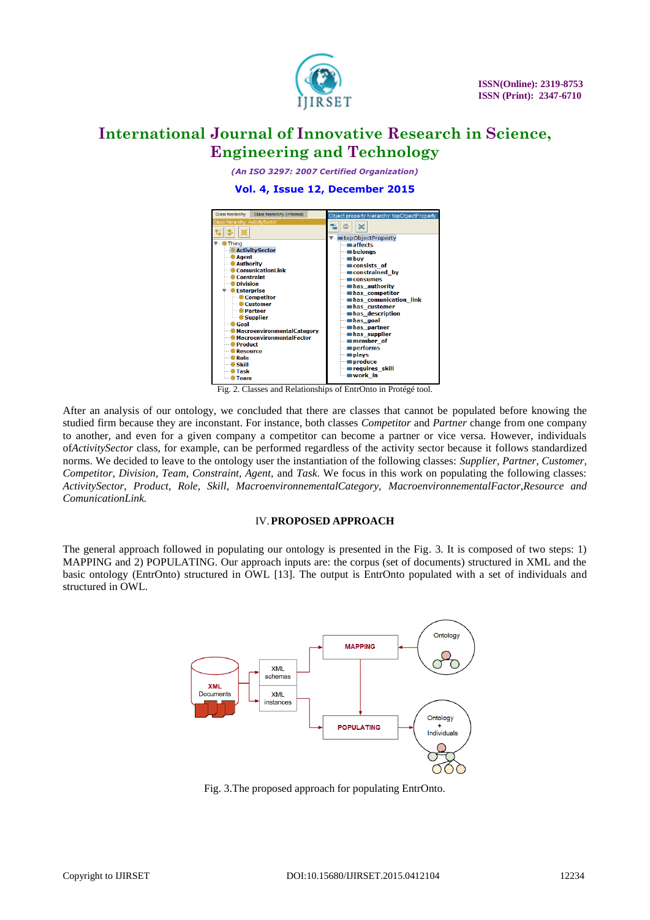

*(An ISO 3297: 2007 Certified Organization)*

**Vol. 4, Issue 12, December 2015**



Fig. 2. Classes and Relationships of EntrOnto in Protégé tool.

After an analysis of our ontology, we concluded that there are classes that cannot be populated before knowing the studied firm because they are inconstant. For instance, both classes *Competitor* and *Partner* change from one company to another, and even for a given company a competitor can become a partner or vice versa. However, individuals of*ActivitySector* class, for example, can be performed regardless of the activity sector because it follows standardized norms. We decided to leave to the ontology user the instantiation of the following classes: *Supplier, Partner, Customer, Competitor, Division, Team, Constraint, Agent,* and *Task*. We focus in this work on populating the following classes: *ActivitySector, Product, Role, Skill, MacroenvironnementalCategory, MacroenvironnementalFactor,Resource and ComunicationLink.*

### IV.**PROPOSED APPROACH**

The general approach followed in populating our ontology is presented in the Fig. 3. It is composed of two steps: 1) MAPPING and 2) POPULATING. Our approach inputs are: the corpus (set of documents) structured in XML and the basic ontology (EntrOnto) structured in OWL [13]. The output is EntrOnto populated with a set of individuals and structured in OWL.



Fig. 3.The proposed approach for populating EntrOnto.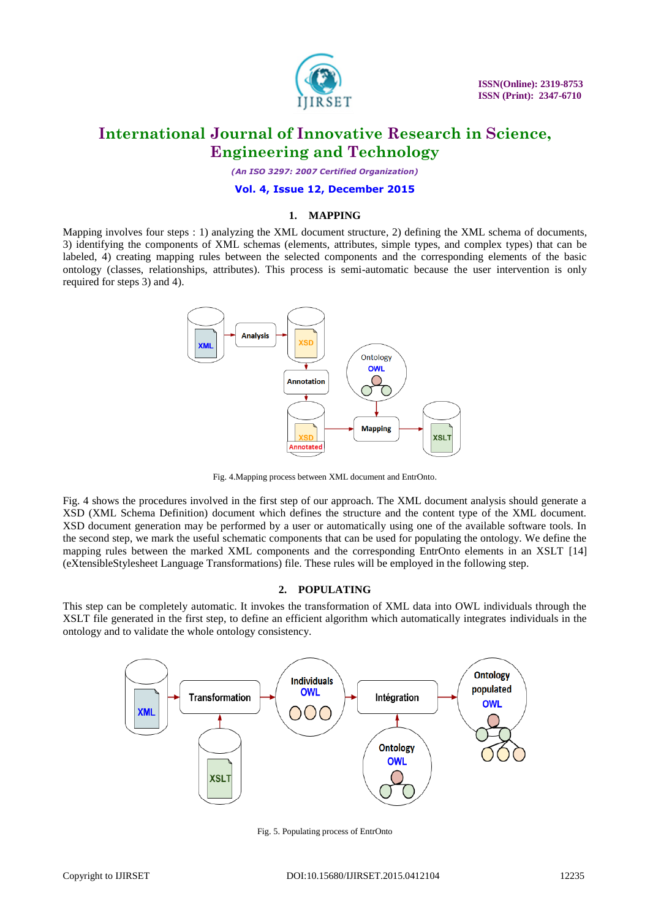

*(An ISO 3297: 2007 Certified Organization)*

# **Vol. 4, Issue 12, December 2015**

# **1. MAPPING**

Mapping involves four steps : 1) analyzing the XML document structure, 2) defining the XML schema of documents, 3) identifying the components of XML schemas (elements, attributes, simple types, and complex types) that can be labeled, 4) creating mapping rules between the selected components and the corresponding elements of the basic ontology (classes, relationships, attributes). This process is semi-automatic because the user intervention is only required for steps 3) and 4).



Fig. 4.Mapping process between XML document and EntrOnto.

Fig. 4 shows the procedures involved in the first step of our approach. The XML document analysis should generate a XSD (XML Schema Definition) document which defines the structure and the content type of the XML document. XSD document generation may be performed by a user or automatically using one of the available software tools. In the second step, we mark the useful schematic components that can be used for populating the ontology. We define the mapping rules between the marked XML components and the corresponding EntrOnto elements in an XSLT [14] (eXtensibleStylesheet Language Transformations) file. These rules will be employed in the following step.

#### **2. POPULATING**

This step can be completely automatic. It invokes the transformation of XML data into OWL individuals through the XSLT file generated in the first step, to define an efficient algorithm which automatically integrates individuals in the ontology and to validate the whole ontology consistency.



Fig. 5. Populating process of EntrOnto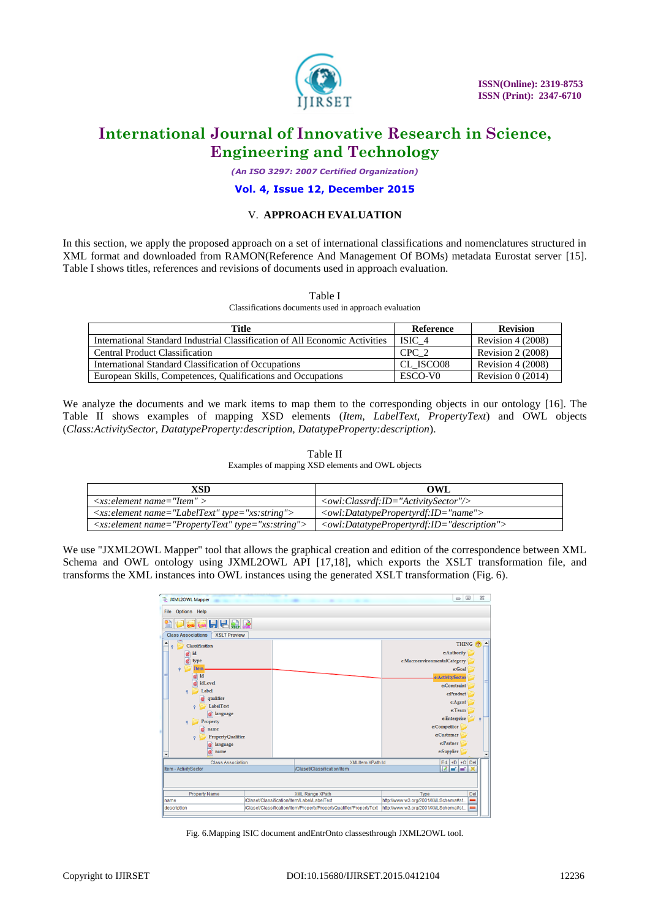

*(An ISO 3297: 2007 Certified Organization)*

### **Vol. 4, Issue 12, December 2015**

## V. **APPROACH EVALUATION**

In this section, we apply the proposed approach on a set of international classifications and nomenclatures structured in XML format and downloaded from RAMON(Reference And Management Of BOMs) metadata Eurostat server [15]. Table I shows titles, references and revisions of documents used in approach evaluation.

| ۰.<br>۹<br>w<br>۰.<br>× |  |
|-------------------------|--|
|-------------------------|--|

Classifications documents used in approach evaluation

| Title                                                                       | Reference           | <b>Revision</b>    |
|-----------------------------------------------------------------------------|---------------------|--------------------|
| International Standard Industrial Classification of All Economic Activities | ISIC 4              | Revision $4(2008)$ |
| <b>Central Product Classification</b>                                       | CPC 2               | Revision $2(2008)$ |
| International Standard Classification of Occupations                        | CL ISCO08           | Revision $4(2008)$ |
| European Skills, Competences, Qualifications and Occupations                | ESCO-V <sub>0</sub> | Revision $0(2014)$ |

We analyze the documents and we mark items to map them to the corresponding objects in our ontology [16]. The Table II shows examples of mapping XSD elements (*Item, LabelText, PropertyText*) and OWL objects (*Class:ActivitySector, DatatypeProperty:description, DatatypeProperty:description*).

| Table II                                         |
|--------------------------------------------------|
| Examples of mapping XSD elements and OWL objects |

| <b>XSD</b>                                                                    | <b>OWL</b>                                                                            |
|-------------------------------------------------------------------------------|---------------------------------------------------------------------------------------|
| $\langle x s : element name = "Item" \rangle$                                 | $\langle \text{owl:Classrdf:ID='Activity Sector"} \rangle$                            |
| $\langle x s : element name = "LabelText" type = "xs: string" \rangle$        | $\langle \text{owl:} D \text{atative}$ Propertyrdf:ID="name">                         |
| $\langle x s : element \ name = "PropertyText" \ type = "xs: string" \rangle$ | <owl:datatypepropertyrdf:id="description"></owl:datatypepropertyrdf:id="description"> |

We use "JXML2OWL Mapper" tool that allows the graphical creation and edition of the correspondence between XML Schema and OWL ontology using JXML2OWL API [17,18], which exports the XSLT transformation file, and transforms the XML instances into OWL instances using the generated XSLT transformation (Fig. 6).

| <b>S</b> JXML2OWL Mapper                         |                                             |                                                                     | $\Box$<br>$\Sigma$<br>$\Box$        |
|--------------------------------------------------|---------------------------------------------|---------------------------------------------------------------------|-------------------------------------|
| <b>Options</b> Help<br>File                      |                                             |                                                                     |                                     |
| 日日到野                                             |                                             |                                                                     |                                     |
| <b>XSLT Preview</b><br><b>Class Associations</b> |                                             |                                                                     |                                     |
| Classification<br>$\mathbf{Q}$                   |                                             |                                                                     | <b>THING A</b><br>$\blacktriangle$  |
| id                                               |                                             |                                                                     | e:Authority                         |
| type                                             |                                             |                                                                     | e:MacroenvironmentalCategory        |
| Item                                             |                                             |                                                                     | e:Goal                              |
| id<br>ø                                          |                                             |                                                                     | e:ActivitySector                    |
| idLevel                                          |                                             |                                                                     | e:Constraint                        |
| Label<br>$\mathsf{P}$                            |                                             |                                                                     | e:Product                           |
| qualifier<br>m                                   |                                             |                                                                     | e:Agent                             |
| LabelText<br>$\mathsf{P}$                        |                                             |                                                                     | e:Team                              |
| @ language                                       |                                             |                                                                     | e:Enterprise<br>$\ddot{\mathbf{Q}}$ |
| Property<br>$\mathsf{P}$<br>name                 |                                             |                                                                     | e:Competitor                        |
| <b>PropertyQualifier</b><br>$\ddot{\mathbf{Q}}$  |                                             |                                                                     | e:Customer                          |
| language                                         |                                             |                                                                     | e:Partner                           |
| name<br>٠                                        |                                             |                                                                     | e:Supplier                          |
| <b>Class Association</b>                         |                                             | <b>XMLItem XPath Id</b>                                             | Ed. $+D$ + O Del                    |
| Item - ActivitySector                            |                                             | /Claset/Classification/Item                                         | e de                                |
|                                                  |                                             |                                                                     |                                     |
| <b>Property Name</b>                             |                                             | XML Range XPath                                                     | Type<br>Del                         |
| name                                             | /Claset/Classification/Item/Label/LabelText |                                                                     | http://www.w3.org/2001/XMLSchema#st |
| description                                      |                                             | /Claset/Classification/Item/Property/PropertyQualifier/PropertyText | http://www.w3.org/2001/XMLSchema#st |

Fig. 6.Mapping ISIC document andEntrOnto classesthrough JXML2OWL tool.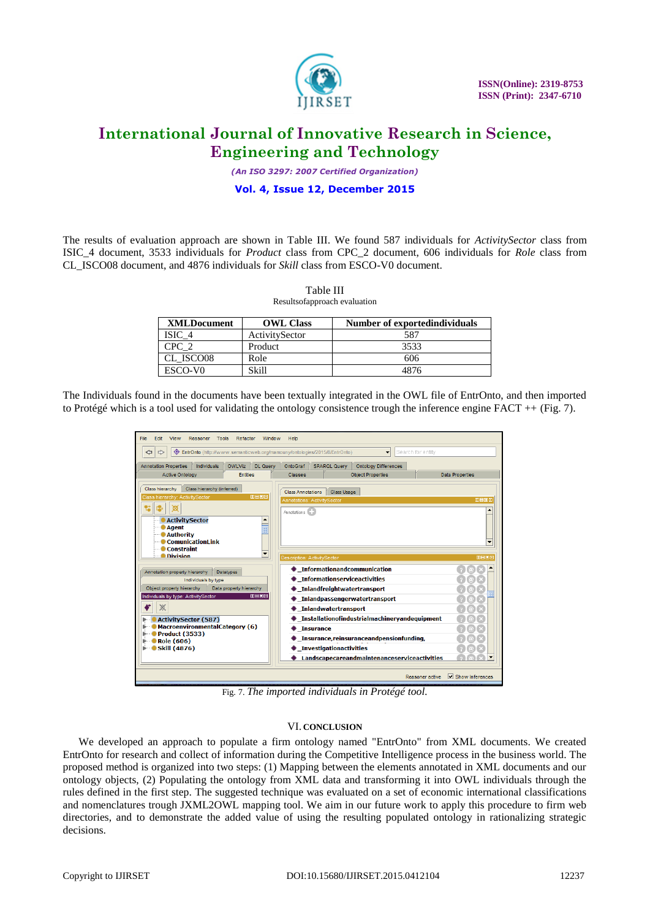

*(An ISO 3297: 2007 Certified Organization)*

### **Vol. 4, Issue 12, December 2015**

The results of evaluation approach are shown in Table III. We found 587 individuals for *ActivitySector* class from ISIC\_4 document, 3533 individuals for *Product* class from CPC\_2 document, 606 individuals for *Role* class from CL\_ISCO08 document, and 4876 individuals for *Skill* class from ESCO-V0 document.

### Table III

Resultsofapproach evaluation

| <b>XMLDocument</b> | <b>OWL Class</b> | Number of exported individuals |
|--------------------|------------------|--------------------------------|
| ISIC 4             | ActivitySector   | 587                            |
| CPC 2              | Product          | 3533                           |
| CL ISCO08          | Role             | 606                            |
| ESCO-VO            | Skill            | 4876                           |

The Individuals found in the documents have been textually integrated in the OWL file of EntrOnto, and then imported to Protégé which is a tool used for validating the ontology consistence trough the inference engine FACT ++ (Fig. 7).

| Edit<br>File<br>View<br>Reasoner<br><b>Tools</b><br>Refactor<br>Window                                     | Help                                                                         |                                  |
|------------------------------------------------------------------------------------------------------------|------------------------------------------------------------------------------|----------------------------------|
| © EntrOnto (http://www.semanticweb.org/mamouny/ontologies/2015/8/EntrOnto)<br>⇔<br>⇨                       | Search for entity<br>$\overline{\phantom{a}}$                                |                                  |
| <b>Individuals</b><br><b>OWLViz</b><br><b>DL Querv</b><br><b>Annotation Properties</b>                     | OntoGraf<br><b>SPARQL Query</b><br><b>Ontology Differences</b>               |                                  |
| <b>Active Ontology</b><br><b>Entities</b>                                                                  | <b>Object Properties</b><br><b>Classes</b>                                   | <b>Data Properties</b>           |
| Class hierarchy<br>Class hierarchy (inferred)                                                              | Class Usage<br><b>Class Annotations</b>                                      |                                  |
| <b>DE08</b><br>Class hierarchy: ActivitySector                                                             | <b>Annotations: ActivitySector</b>                                           | <b>DB08</b>                      |
|                                                                                                            | Annotations <b>Executive</b>                                                 |                                  |
| <b>ActivitySector</b>                                                                                      |                                                                              |                                  |
| <b>Agent</b><br><b>Authority</b>                                                                           |                                                                              |                                  |
| <b>ComunicationLink</b>                                                                                    |                                                                              | $\overline{\phantom{a}}$         |
| Constraint<br>$\overline{\phantom{a}}$<br><b>O</b> Division                                                |                                                                              |                                  |
|                                                                                                            | <b>Description: ActivitySector</b>                                           | <b>DEDB</b>                      |
| Annotation property hierarchy<br><b>Datatypes</b>                                                          | ♦ Informationandcommunication                                                |                                  |
| Individuals by type                                                                                        | Informationserviceactivities                                                 |                                  |
| Data property hierarchy<br>Object property hierarchy<br><b>MANA</b><br>Individuals by type: ActivitySector | Inlandfreightwatertransport                                                  |                                  |
|                                                                                                            | ◆ Inlandpassengerwatertransport                                              |                                  |
|                                                                                                            | ◆ Inlandwatertransport                                                       |                                  |
| <b>ActivitySector (587)</b><br>MacroenvironmentalCategory (6)                                              | ♦ Installationofindustrialmachinervandequipment                              |                                  |
| <b>Product (3533)</b>                                                                                      | $\bullet$ Insurance                                                          |                                  |
| $\bullet$ Role (606)<br>$\blacktriangleright$ Skill (4876)                                                 | Insurance, reinsurance and pensionfunding,<br><b>Investigationactivities</b> |                                  |
|                                                                                                            | Landscapecareandmaintenanceserviceactivities                                 |                                  |
|                                                                                                            |                                                                              |                                  |
|                                                                                                            | Reasoner active                                                              | $\triangleright$ Show Inferences |

Fig. 7. *The imported individuals in Protégé tool.*

#### VI. **CONCLUSION**

We developed an approach to populate a firm ontology named "EntrOnto" from XML documents. We created EntrOnto for research and collect of information during the Competitive Intelligence process in the business world. The proposed method is organized into two steps: (1) Mapping between the elements annotated in XML documents and our ontology objects, (2) Populating the ontology from XML data and transforming it into OWL individuals through the rules defined in the first step. The suggested technique was evaluated on a set of economic international classifications and nomenclatures trough JXML2OWL mapping tool. We aim in our future work to apply this procedure to firm web directories, and to demonstrate the added value of using the resulting populated ontology in rationalizing strategic decisions.